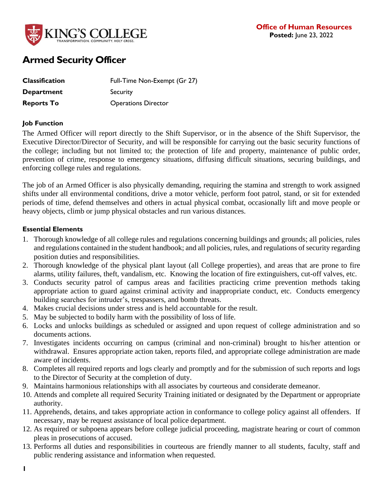

# **Armed Security Officer**

| <b>Classification</b> | Full-Time Non-Exempt (Gr 27) |
|-----------------------|------------------------------|
| <b>Department</b>     | Security                     |
| <b>Reports To</b>     | <b>Operations Director</b>   |

### **Job Function**

The Armed Officer will report directly to the Shift Supervisor, or in the absence of the Shift Supervisor, the Executive Director/Director of Security, and will be responsible for carrying out the basic security functions of the college; including but not limited to; the protection of life and property, maintenance of public order, prevention of crime, response to emergency situations, diffusing difficult situations, securing buildings, and enforcing college rules and regulations.

The job of an Armed Officer is also physically demanding, requiring the stamina and strength to work assigned shifts under all environmental conditions, drive a motor vehicle, perform foot patrol, stand, or sit for extended periods of time, defend themselves and others in actual physical combat, occasionally lift and move people or heavy objects, climb or jump physical obstacles and run various distances.

### **Essential Elements**

- 1. Thorough knowledge of all college rules and regulations concerning buildings and grounds; all policies, rules and regulations contained in the student handbook; and all policies, rules, and regulations of security regarding position duties and responsibilities.
- 2. Thorough knowledge of the physical plant layout (all College properties), and areas that are prone to fire alarms, utility failures, theft, vandalism, etc. Knowing the location of fire extinguishers, cut-off valves, etc.
- 3. Conducts security patrol of campus areas and facilities practicing crime prevention methods taking appropriate action to guard against criminal activity and inappropriate conduct, etc. Conducts emergency building searches for intruder's, trespassers, and bomb threats.
- 4. Makes crucial decisions under stress and is held accountable for the result.
- 5. May be subjected to bodily harm with the possibility of loss of life.
- 6. Locks and unlocks buildings as scheduled or assigned and upon request of college administration and so documents actions.
- 7. Investigates incidents occurring on campus (criminal and non-criminal) brought to his/her attention or withdrawal. Ensures appropriate action taken, reports filed, and appropriate college administration are made aware of incidents.
- 8. Completes all required reports and logs clearly and promptly and for the submission of such reports and logs to the Director of Security at the completion of duty.
- 9. Maintains harmonious relationships with all associates by courteous and considerate demeanor.
- 10. Attends and complete all required Security Training initiated or designated by the Department or appropriate authority.
- 11. Apprehends, detains, and takes appropriate action in conformance to college policy against all offenders. If necessary, may be request assistance of local police department.
- 12. As required or subpoena appears before college judicial proceeding, magistrate hearing or court of common pleas in prosecutions of accused.
- 13. Performs all duties and responsibilities in courteous are friendly manner to all students, faculty, staff and public rendering assistance and information when requested.